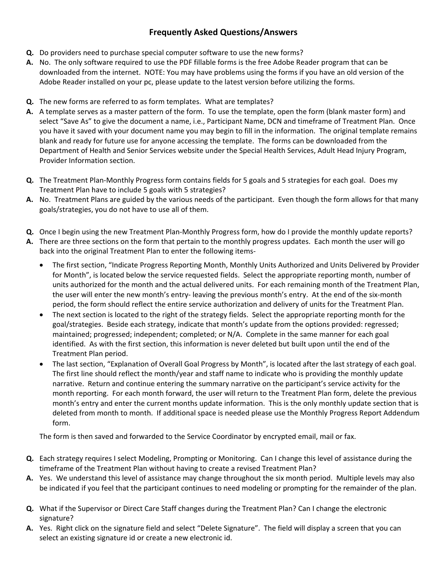## **Frequently Asked Questions/Answers**

- **Q.** Do providers need to purchase special computer software to use the new forms?
- **A.** No. The only software required to use the PDF fillable forms is the free Adobe Reader program that can be downloaded from the internet. NOTE: You may have problems using the forms if you have an old version of the Adobe Reader installed on your pc, please update to the latest version before utilizing the forms.
- **Q.** The new forms are referred to as form templates. What are templates?
- **A.** A template serves as a master pattern of the form. To use the template, open the form (blank master form) and select "Save As" to give the document a name, i.e., Participant Name, DCN and timeframe of Treatment Plan. Once you have it saved with your document name you may begin to fill in the information. The original template remains blank and ready for future use for anyone accessing the template. The forms can be downloaded from the Department of Health and Senior Services website under the Special Health Services, Adult Head Injury Program, Provider Information section.
- **Q.** The Treatment Plan‐Monthly Progress form contains fields for 5 goals and 5 strategies for each goal. Does my Treatment Plan have to include 5 goals with 5 strategies?
- **A.** No. Treatment Plans are guided by the various needs of the participant. Even though the form allows for that many goals/strategies, you do not have to use all of them.
- **Q.** Once I begin using the new Treatment Plan-Monthly Progress form, how do I provide the monthly update reports?
- **A.** There are three sections on the form that pertain to the monthly progress updates. Each month the user will go back into the original Treatment Plan to enter the following items‐
	- The first section, "Indicate Progress Reporting Month, Monthly Units Authorized and Units Delivered by Provider for Month", is located below the service requested fields. Select the appropriate reporting month, number of units authorized for the month and the actual delivered units. For each remaining month of the Treatment Plan, the user will enter the new month's entry‐ leaving the previous month's entry. At the end of the six‐month period, the form should reflect the entire service authorization and delivery of units for the Treatment Plan.
	- The next section is located to the right of the strategy fields. Select the appropriate reporting month for the goal/strategies. Beside each strategy, indicate that month's update from the options provided: regressed; maintained; progressed; independent; completed; or N/A. Complete in the same manner for each goal identified. As with the first section, this information is never deleted but built upon until the end of the Treatment Plan period.
	- The last section, "Explanation of Overall Goal Progress by Month", is located after the last strategy of each goal. The first line should reflect the month/year and staff name to indicate who is providing the monthly update narrative. Return and continue entering the summary narrative on the participant's service activity for the month reporting. For each month forward, the user will return to the Treatment Plan form, delete the previous month's entry and enter the current months update information. This is the only monthly update section that is deleted from month to month. If additional space is needed please use the Monthly Progress Report Addendum form.

The form is then saved and forwarded to the Service Coordinator by encrypted email, mail or fax.

- **Q.** Each strategy requires I select Modeling, Prompting or Monitoring. Can I change this level of assistance during the timeframe of the Treatment Plan without having to create a revised Treatment Plan?
- **A.** Yes. We understand this level of assistance may change throughout the six month period. Multiple levels may also be indicated if you feel that the participant continues to need modeling or prompting for the remainder of the plan.
- **Q.** What if the Supervisor or Direct Care Staff changes during the Treatment Plan? Can I change the electronic signature?
- **A.** Yes. Right click on the signature field and select "Delete Signature". The field will display a screen that you can select an existing signature id or create a new electronic id.